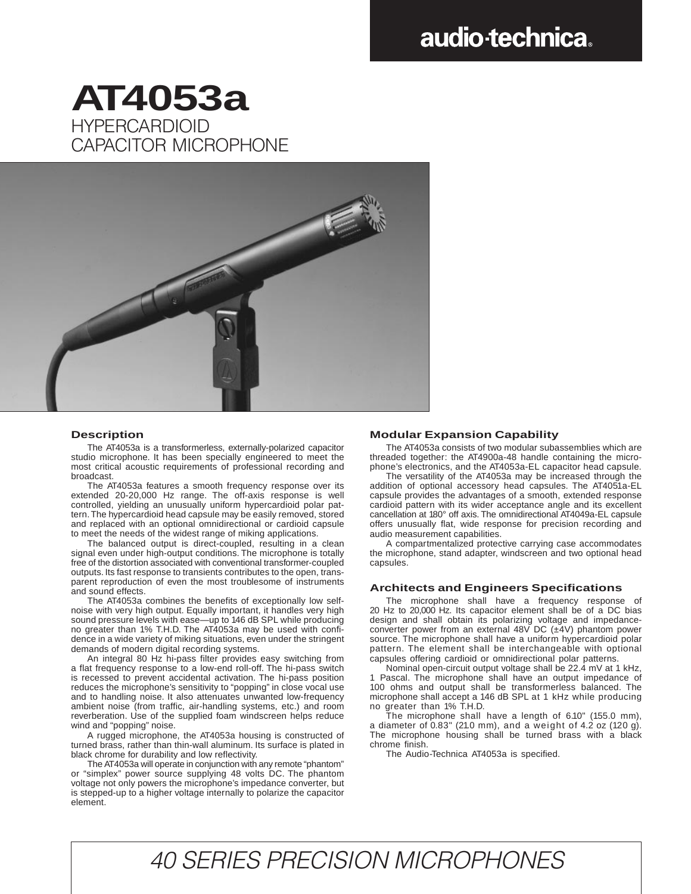# audio-technica.

### HYPERCARDIOID CAPACITOR MICROPHONE **AT4053a**



#### **Description**

The AT4053a is a transformerless, externally-polarized capacitor studio microphone. It has been specially engineered to meet the most critical acoustic requirements of professional recording and broadcast.

The AT4053a features a smooth frequency response over its extended 20-20,000 Hz range. The off-axis response is well controlled, yielding an unusually uniform hypercardioid polar pattern. The hypercardioid head capsule may be easily removed, stored and replaced with an optional omnidirectional or cardioid capsule to meet the needs of the widest range of miking applications.

The balanced output is direct-coupled, resulting in a clean signal even under high-output conditions. The microphone is totally free of the distortion associated with conventional transformer-coupled outputs. Its fast response to transients contributes to the open, transparent reproduction of even the most troublesome of instruments and sound effects.

The AT4053a combines the benefits of exceptionally low selfnoise with very high output. Equally important, it handles very high sound pressure levels with ease—up to 146 dB SPL while producing no greater than 1% T.H.D. The AT4053a may be used with confidence in a wide variety of miking situations, even under the stringent demands of modern digital recording systems.

An integral 80 Hz hi-pass filter provides easy switching from a flat frequency response to a low-end roll-off. The hi-pass switch is recessed to prevent accidental activation. The hi-pass position reduces the microphone's sensitivity to "popping" in close vocal use and to handling noise. It also attenuates unwanted low-frequency ambient noise (from traffic, air-handling systems, etc.) and room reverberation. Use of the supplied foam windscreen helps reduce wind and "popping" noise.

A rugged microphone, the AT4053a housing is constructed of turned brass, rather than thin-wall aluminum. Its surface is plated in black chrome for durability and low reflectivity.

The AT4053a will operate in conjunction with any remote "phantom" "simplex" power source supplying 48 volts DC. The phantom voltage not only powers the microphone's impedance converter, but is stepped-up to a higher voltage internally to polarize the capacitor element.

#### **Modular Expansion Capability**

The AT4053a consists of two modular subassemblies which are threaded together: the AT4900a-48 handle containing the microphone's electronics, and the AT4053a-EL capacitor head capsule.

The versatility of the AT4053a may be increased through the addition of optional accessory head capsules. The AT4051a-EL capsule provides the advantages of a smooth, extended response cardioid pattern with its wider acceptance angle and its excellent cancellation at 180° off axis. The omnidirectional AT4049a-EL capsule offers unusually flat, wide response for precision recording and audio measurement capabilities.

A compartmentalized protective carrying case accommodates the microphone, stand adapter, windscreen and two optional head capsules.

#### **Architects and Engineers Specifications**

The microphone shall have a frequency response of 20 Hz to 20,000 Hz. Its capacitor element shall be of a DC bias design and shall obtain its polarizing voltage and impedanceconverter power from an external 48V DC (±4V) phantom power source. The microphone shall have a uniform hypercardioid polar pattern. The element shall be interchangeable with optional capsules offering cardioid or omnidirectional polar patterns.

Nominal open-circuit output voltage shall be 22.4 mV at 1 kHz, 1 Pascal. The microphone shall have an output impedance of 100 ohms and output shall be transformerless balanced. The microphone shall accept a 146 dB SPL at 1 kHz while producing no greater than 1% T.H.D.

The microphone shall have a length of 6.10" (155.0 mm), a diameter of 0.83" (21.0 mm), and a weight of 4.2 oz (120 g). The microphone housing shall be turned brass with a black chrome finish.

The Audio-Technica AT4053a is specified.

## 40 SERIES PRECISION MICROPHONES